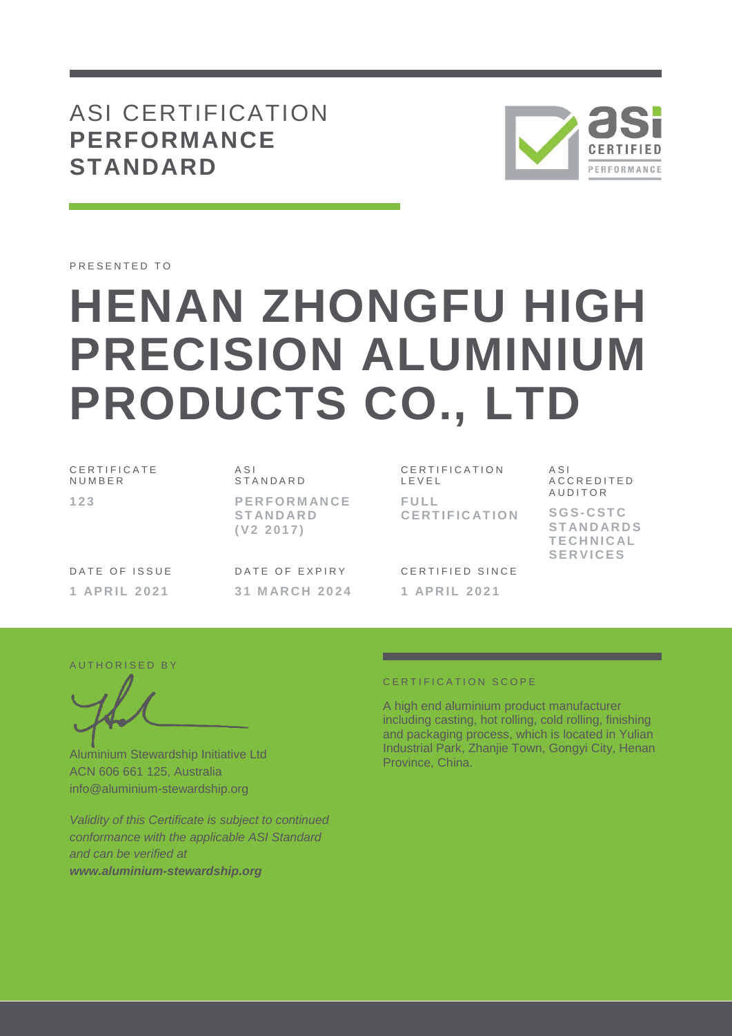# ASI CERTIFICATION **PERFORMANCE STANDARD**



PRESENTED TO

# **HENAN ZHONGFU HIGH PRECISION ALUMINIUM PRODUCTS CO., LTD**

C E R T I F I C A T E **NUMBER 1 2 3**

A S I **STANDARD P E R F O R M AN C E S T AN D AR D ( V 2 2 0 1 7 )**

DATE OF ISSUE **1 AP R I L 2021**

DATE OF EXPIRY **3 1 M AR C H 202 4**

C E R T I F I C A T I O N L E V E L **F U L L C E R T I F I C AT I O N** A S I A C C R E D I T E D **AUDITOR** 

**S G S- C S T C S T AN D AR D S T E C H N I C AL S E R V I C E S**

CERTIFIED SINCE **1 AP R I L 2021**

#### AUTHORISED BY

Aluminium Stewardship Initiative Ltd ACN 606 661 125, Australia info@aluminium-stewardship.org

*Validity of this Certificate is subject to continued conformance with the applicable ASI Standard and can be verified at www.aluminium-stewardship.org*

#### C E R T I F I C A T I O N S C O P F

A high end aluminium product manufacturer including casting, hot rolling, cold rolling, finishing and packaging process, which is located in Yulian Industrial Park, Zhanjie Town, Gongyi City, Henan Province, China.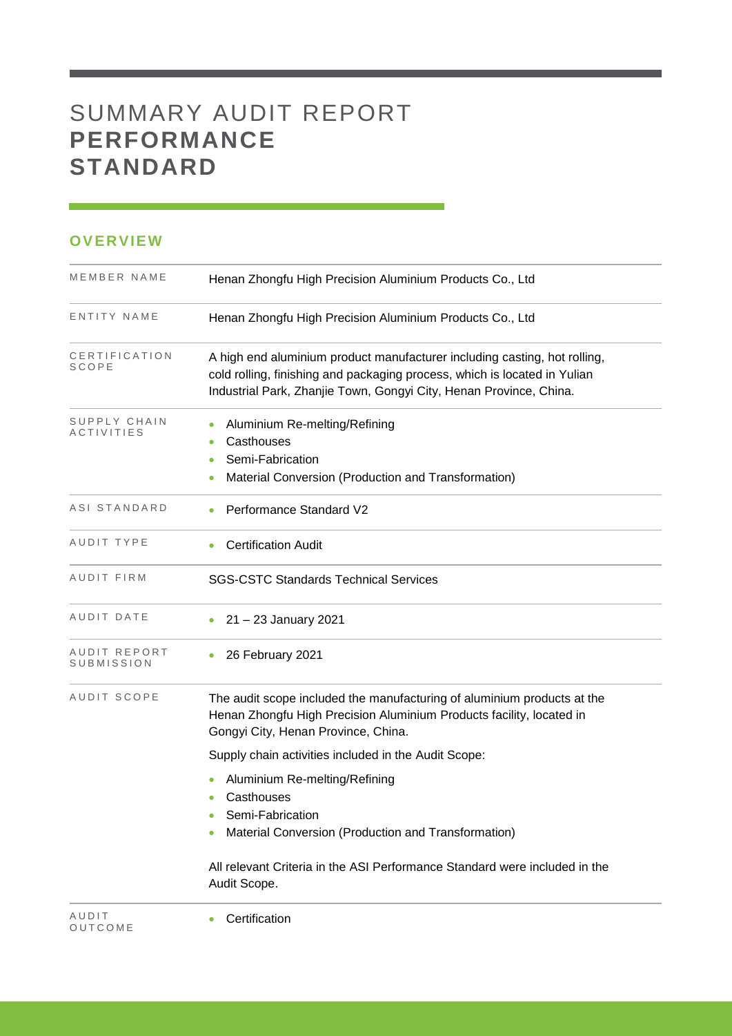# SUMMARY AUDIT REPORT **PERFORMANCE STANDARD**

### **OVERVIEW**

| MEMBER NAME                       | Henan Zhongfu High Precision Aluminium Products Co., Ltd                                                                                                                                                                     |
|-----------------------------------|------------------------------------------------------------------------------------------------------------------------------------------------------------------------------------------------------------------------------|
| ENTITY NAME                       | Henan Zhongfu High Precision Aluminium Products Co., Ltd                                                                                                                                                                     |
| CERTIFICATION<br>SCOPE            | A high end aluminium product manufacturer including casting, hot rolling,<br>cold rolling, finishing and packaging process, which is located in Yulian<br>Industrial Park, Zhanjie Town, Gongyi City, Henan Province, China. |
| SUPPLY CHAIN<br><i>ACTIVITIES</i> | Aluminium Re-melting/Refining<br>Casthouses<br>۰<br>Semi-Fabrication<br>Material Conversion (Production and Transformation)                                                                                                  |
| ASI STANDARD                      | Performance Standard V2                                                                                                                                                                                                      |
| AUDIT TYPE                        | <b>Certification Audit</b>                                                                                                                                                                                                   |
| AUDIT FIRM                        | <b>SGS-CSTC Standards Technical Services</b>                                                                                                                                                                                 |
| AUDIT DATE                        | 21 - 23 January 2021                                                                                                                                                                                                         |
| AUDIT REPORT<br>SUBMISSION        | 26 February 2021                                                                                                                                                                                                             |
| AUDIT SCOPE                       | The audit scope included the manufacturing of aluminium products at the<br>Henan Zhongfu High Precision Aluminium Products facility, located in<br>Gongyi City, Henan Province, China.                                       |
|                                   | Supply chain activities included in the Audit Scope:                                                                                                                                                                         |
|                                   | Aluminium Re-melting/Refining<br>Casthouses<br>Semi-Fabrication<br>Material Conversion (Production and Transformation)                                                                                                       |
|                                   | All relevant Criteria in the ASI Performance Standard were included in the<br>Audit Scope.                                                                                                                                   |

and the control of the control of the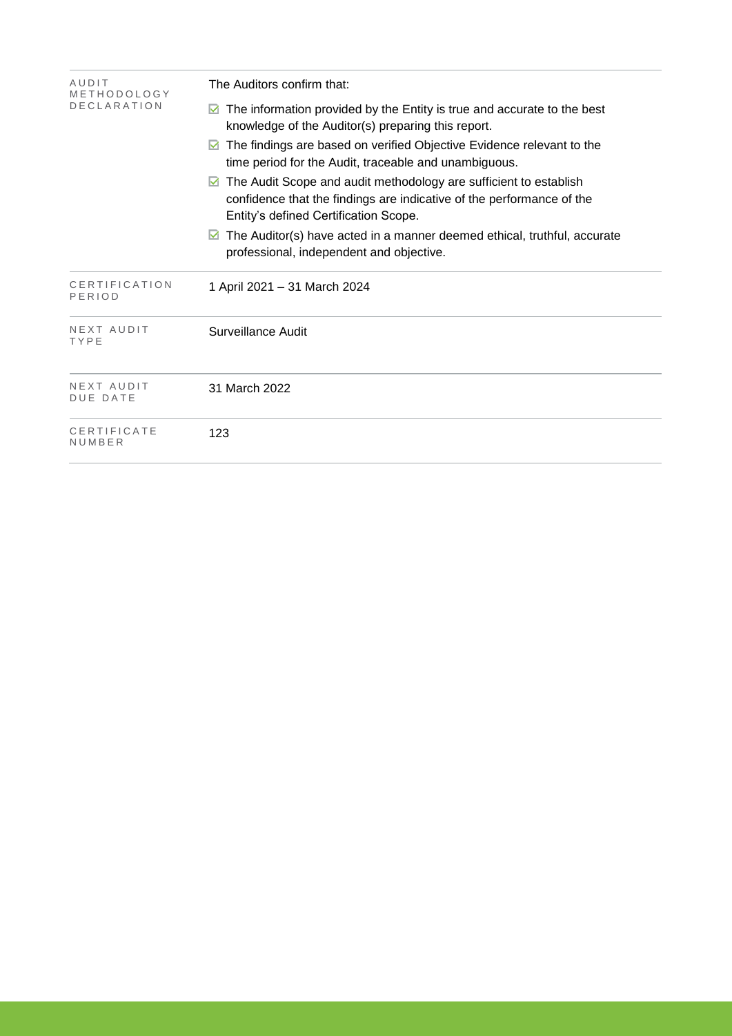| AUDIT<br>METHODOLOGY<br><b>DECLARATION</b> | The Auditors confirm that:                                                                                                                                                                            |  |  |  |  |
|--------------------------------------------|-------------------------------------------------------------------------------------------------------------------------------------------------------------------------------------------------------|--|--|--|--|
|                                            | The information provided by the Entity is true and accurate to the best<br>M<br>knowledge of the Auditor(s) preparing this report.                                                                    |  |  |  |  |
|                                            | The findings are based on verified Objective Evidence relevant to the<br>time period for the Audit, traceable and unambiguous.                                                                        |  |  |  |  |
|                                            | The Audit Scope and audit methodology are sufficient to establish<br>$\blacksquare$<br>confidence that the findings are indicative of the performance of the<br>Entity's defined Certification Scope. |  |  |  |  |
|                                            | The Auditor(s) have acted in a manner deemed ethical, truthful, accurate<br>professional, independent and objective.                                                                                  |  |  |  |  |
| CERTIFICATION<br>PERIOD                    | 1 April 2021 - 31 March 2024                                                                                                                                                                          |  |  |  |  |
| NEXT AUDIT<br>TYPE                         | Surveillance Audit                                                                                                                                                                                    |  |  |  |  |
| NEXT AUDIT<br><b>DUE DATE</b>              | 31 March 2022                                                                                                                                                                                         |  |  |  |  |
| CERTIFICATE<br>NUMBER                      | 123                                                                                                                                                                                                   |  |  |  |  |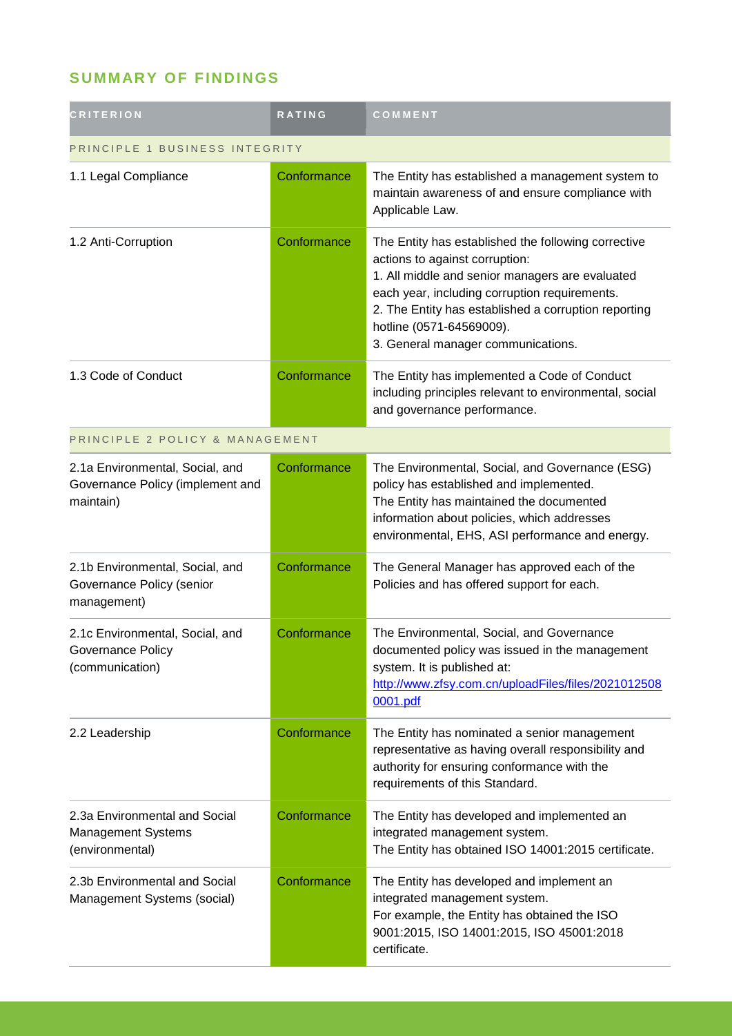## **SUMMARY OF FINDINGS**

| <b>CRITERION</b>                                                                 | <b>RATING</b> | COMMENT                                                                                                                                                                                                                                                                                                             |  |
|----------------------------------------------------------------------------------|---------------|---------------------------------------------------------------------------------------------------------------------------------------------------------------------------------------------------------------------------------------------------------------------------------------------------------------------|--|
| PRINCIPLE 1 BUSINESS INTEGRITY                                                   |               |                                                                                                                                                                                                                                                                                                                     |  |
| 1.1 Legal Compliance                                                             | Conformance   | The Entity has established a management system to<br>maintain awareness of and ensure compliance with<br>Applicable Law.                                                                                                                                                                                            |  |
| 1.2 Anti-Corruption                                                              | Conformance   | The Entity has established the following corrective<br>actions to against corruption:<br>1. All middle and senior managers are evaluated<br>each year, including corruption requirements.<br>2. The Entity has established a corruption reporting<br>hotline (0571-64569009).<br>3. General manager communications. |  |
| 1.3 Code of Conduct                                                              | Conformance   | The Entity has implemented a Code of Conduct<br>including principles relevant to environmental, social<br>and governance performance.                                                                                                                                                                               |  |
| PRINCIPLE 2 POLICY & MANAGEMENT                                                  |               |                                                                                                                                                                                                                                                                                                                     |  |
| 2.1a Environmental, Social, and<br>Governance Policy (implement and<br>maintain) | Conformance   | The Environmental, Social, and Governance (ESG)<br>policy has established and implemented.<br>The Entity has maintained the documented<br>information about policies, which addresses<br>environmental, EHS, ASI performance and energy.                                                                            |  |
| 2.1b Environmental, Social, and<br>Governance Policy (senior<br>management)      | Conformance   | The General Manager has approved each of the<br>Policies and has offered support for each.                                                                                                                                                                                                                          |  |
| 2.1c Environmental, Social, and<br>Governance Policy<br>(communication)          | Conformance   | The Environmental, Social, and Governance<br>documented policy was issued in the management<br>system. It is published at:<br>http://www.zfsy.com.cn/uploadFiles/files/2021012508<br>0001.pdf                                                                                                                       |  |
| 2.2 Leadership                                                                   | Conformance   | The Entity has nominated a senior management<br>representative as having overall responsibility and<br>authority for ensuring conformance with the<br>requirements of this Standard.                                                                                                                                |  |
| 2.3a Environmental and Social<br>Management Systems<br>(environmental)           | Conformance   | The Entity has developed and implemented an<br>integrated management system.<br>The Entity has obtained ISO 14001:2015 certificate.                                                                                                                                                                                 |  |
| 2.3b Environmental and Social<br>Management Systems (social)                     | Conformance   | The Entity has developed and implement an<br>integrated management system.<br>For example, the Entity has obtained the ISO<br>9001:2015, ISO 14001:2015, ISO 45001:2018<br>certificate.                                                                                                                             |  |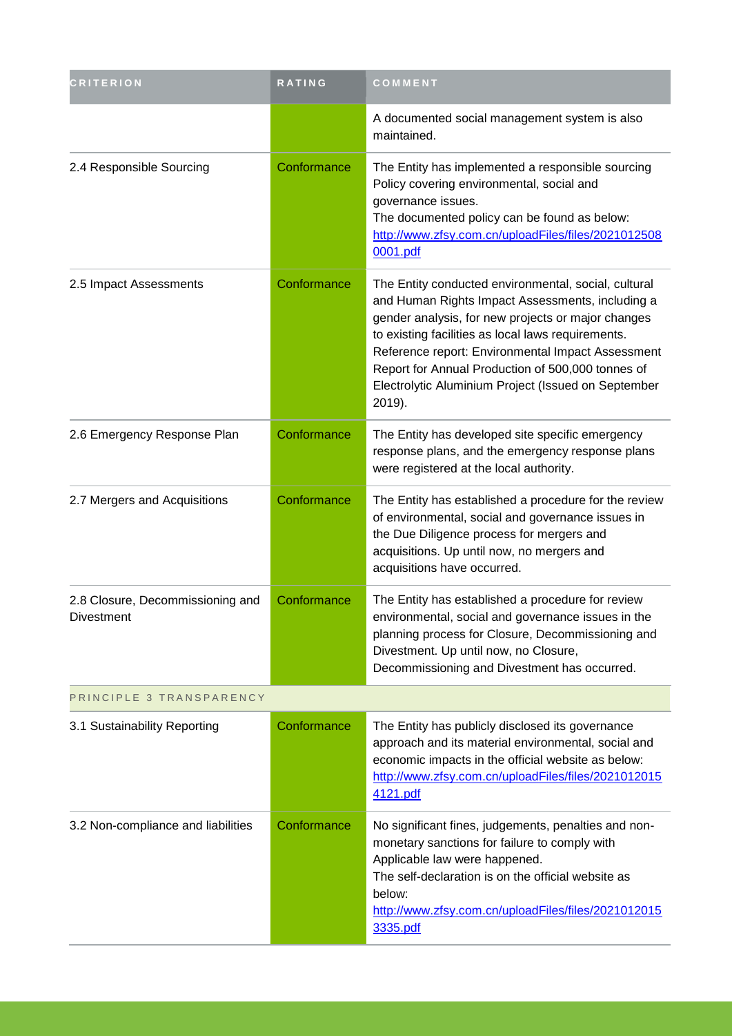| <b>CRITERION</b>                               | RATING      | COMMENT                                                                                                                                                                                                                                                                                                                                                                                         |  |
|------------------------------------------------|-------------|-------------------------------------------------------------------------------------------------------------------------------------------------------------------------------------------------------------------------------------------------------------------------------------------------------------------------------------------------------------------------------------------------|--|
|                                                |             | A documented social management system is also<br>maintained.                                                                                                                                                                                                                                                                                                                                    |  |
| 2.4 Responsible Sourcing                       | Conformance | The Entity has implemented a responsible sourcing<br>Policy covering environmental, social and<br>governance issues.<br>The documented policy can be found as below:<br>http://www.zfsy.com.cn/uploadFiles/files/2021012508<br>0001.pdf                                                                                                                                                         |  |
| 2.5 Impact Assessments                         | Conformance | The Entity conducted environmental, social, cultural<br>and Human Rights Impact Assessments, including a<br>gender analysis, for new projects or major changes<br>to existing facilities as local laws requirements.<br>Reference report: Environmental Impact Assessment<br>Report for Annual Production of 500,000 tonnes of<br>Electrolytic Aluminium Project (Issued on September<br>2019). |  |
| 2.6 Emergency Response Plan                    | Conformance | The Entity has developed site specific emergency<br>response plans, and the emergency response plans<br>were registered at the local authority.                                                                                                                                                                                                                                                 |  |
| 2.7 Mergers and Acquisitions                   | Conformance | The Entity has established a procedure for the review<br>of environmental, social and governance issues in<br>the Due Diligence process for mergers and<br>acquisitions. Up until now, no mergers and<br>acquisitions have occurred.                                                                                                                                                            |  |
| 2.8 Closure, Decommissioning and<br>Divestment | Conformance | The Entity has established a procedure for review<br>environmental, social and governance issues in the<br>planning process for Closure, Decommissioning and<br>Divestment. Up until now, no Closure,<br>Decommissioning and Divestment has occurred.                                                                                                                                           |  |
| PRINCIPLE 3 TRANSPARENCY                       |             |                                                                                                                                                                                                                                                                                                                                                                                                 |  |
| 3.1 Sustainability Reporting                   | Conformance | The Entity has publicly disclosed its governance<br>approach and its material environmental, social and<br>economic impacts in the official website as below:<br>http://www.zfsy.com.cn/uploadFiles/files/2021012015<br>4121.pdf                                                                                                                                                                |  |
| 3.2 Non-compliance and liabilities             | Conformance | No significant fines, judgements, penalties and non-<br>monetary sanctions for failure to comply with<br>Applicable law were happened.<br>The self-declaration is on the official website as<br>below:<br>http://www.zfsy.com.cn/uploadFiles/files/2021012015<br>3335.pdf                                                                                                                       |  |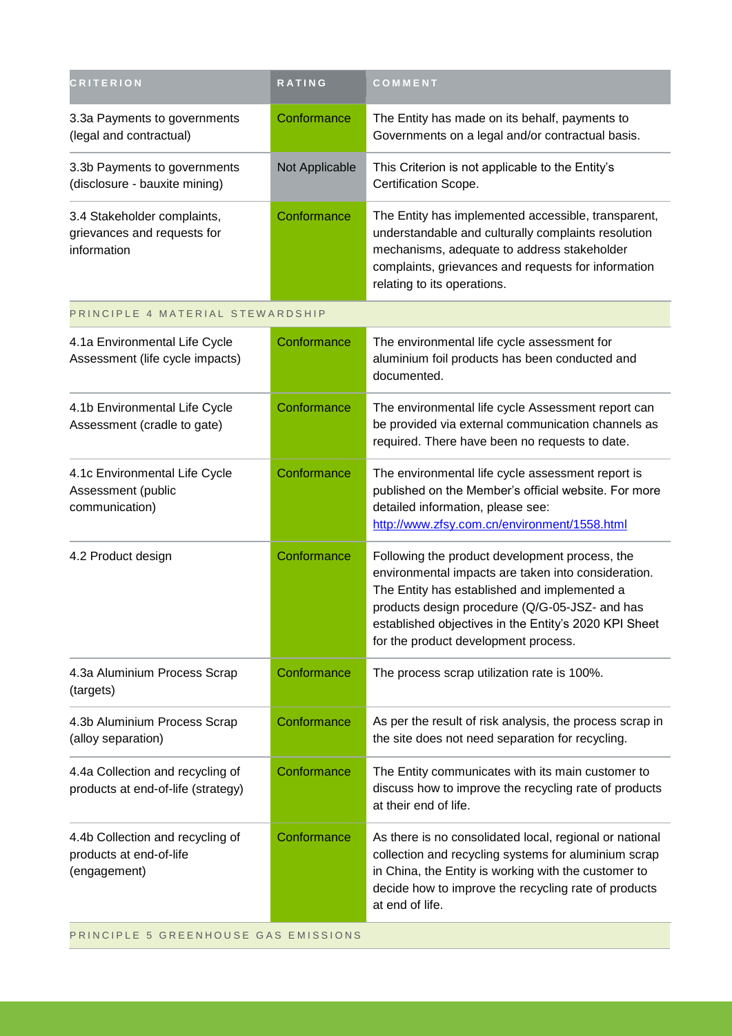| <b>CRITERION</b>                                                            | RATING         | COMMENT                                                                                                                                                                                                                                                                                                  |  |
|-----------------------------------------------------------------------------|----------------|----------------------------------------------------------------------------------------------------------------------------------------------------------------------------------------------------------------------------------------------------------------------------------------------------------|--|
| 3.3a Payments to governments<br>(legal and contractual)                     | Conformance    | The Entity has made on its behalf, payments to<br>Governments on a legal and/or contractual basis.                                                                                                                                                                                                       |  |
| 3.3b Payments to governments<br>(disclosure - bauxite mining)               | Not Applicable | This Criterion is not applicable to the Entity's<br>Certification Scope.                                                                                                                                                                                                                                 |  |
| 3.4 Stakeholder complaints,<br>grievances and requests for<br>information   | Conformance    | The Entity has implemented accessible, transparent,<br>understandable and culturally complaints resolution<br>mechanisms, adequate to address stakeholder<br>complaints, grievances and requests for information<br>relating to its operations.                                                          |  |
| PRINCIPLE 4 MATERIAL STEWARDSHIP                                            |                |                                                                                                                                                                                                                                                                                                          |  |
| 4.1a Environmental Life Cycle<br>Assessment (life cycle impacts)            | Conformance    | The environmental life cycle assessment for<br>aluminium foil products has been conducted and<br>documented.                                                                                                                                                                                             |  |
| 4.1b Environmental Life Cycle<br>Assessment (cradle to gate)                | Conformance    | The environmental life cycle Assessment report can<br>be provided via external communication channels as<br>required. There have been no requests to date.                                                                                                                                               |  |
| 4.1c Environmental Life Cycle<br>Assessment (public<br>communication)       | Conformance    | The environmental life cycle assessment report is<br>published on the Member's official website. For more<br>detailed information, please see:<br>http://www.zfsy.com.cn/environment/1558.html                                                                                                           |  |
| 4.2 Product design                                                          | Conformance    | Following the product development process, the<br>environmental impacts are taken into consideration.<br>The Entity has established and implemented a<br>products design procedure (Q/G-05-JSZ- and has<br>established objectives in the Entity's 2020 KPI Sheet<br>for the product development process. |  |
| 4.3a Aluminium Process Scrap<br>(targets)                                   | Conformance    | The process scrap utilization rate is 100%.                                                                                                                                                                                                                                                              |  |
| 4.3b Aluminium Process Scrap<br>(alloy separation)                          | Conformance    | As per the result of risk analysis, the process scrap in<br>the site does not need separation for recycling.                                                                                                                                                                                             |  |
| 4.4a Collection and recycling of<br>products at end-of-life (strategy)      | Conformance    | The Entity communicates with its main customer to<br>discuss how to improve the recycling rate of products<br>at their end of life.                                                                                                                                                                      |  |
| 4.4b Collection and recycling of<br>products at end-of-life<br>(engagement) | Conformance    | As there is no consolidated local, regional or national<br>collection and recycling systems for aluminium scrap<br>in China, the Entity is working with the customer to<br>decide how to improve the recycling rate of products<br>at end of life.                                                       |  |
| PRINCIPLE 5 GREENHOUSE GAS EMISSIONS                                        |                |                                                                                                                                                                                                                                                                                                          |  |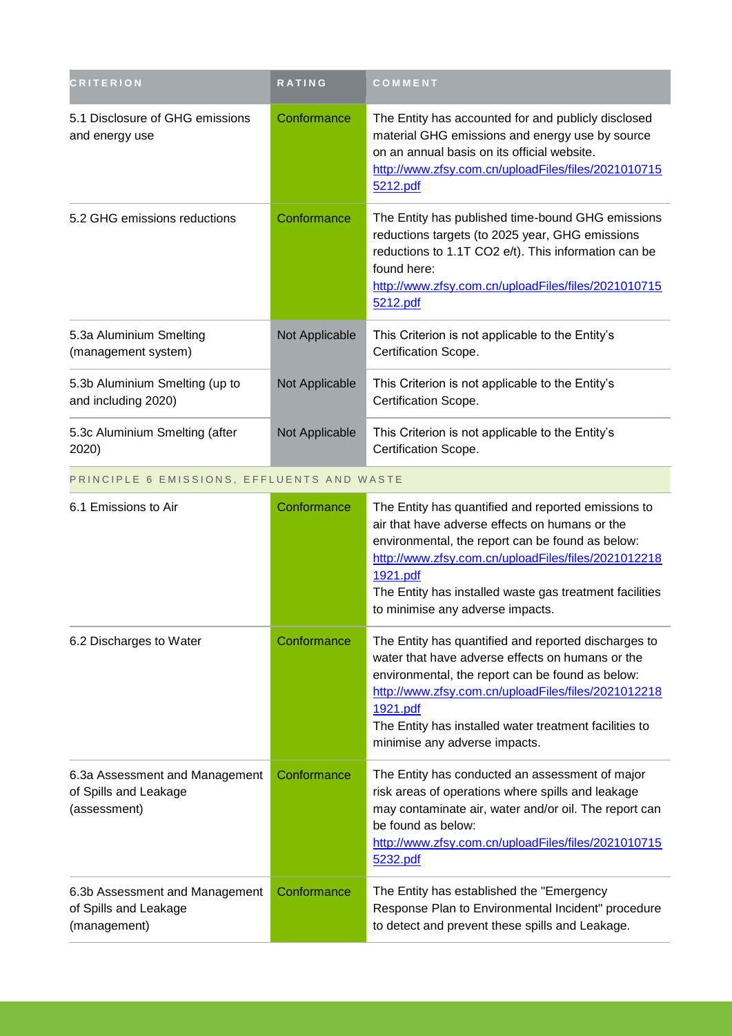| <b>CRITERION</b>                                                        | <b>RATING</b>  | COMMENT                                                                                                                                                                                                                                                                                                                     |
|-------------------------------------------------------------------------|----------------|-----------------------------------------------------------------------------------------------------------------------------------------------------------------------------------------------------------------------------------------------------------------------------------------------------------------------------|
| 5.1 Disclosure of GHG emissions<br>and energy use                       | Conformance    | The Entity has accounted for and publicly disclosed<br>material GHG emissions and energy use by source<br>on an annual basis on its official website.<br>http://www.zfsy.com.cn/uploadFiles/files/2021010715<br>5212.pdf                                                                                                    |
| 5.2 GHG emissions reductions                                            | Conformance    | The Entity has published time-bound GHG emissions<br>reductions targets (to 2025 year, GHG emissions<br>reductions to 1.1T CO2 e/t). This information can be<br>found here:<br>http://www.zfsy.com.cn/uploadFiles/files/2021010715<br>5212.pdf                                                                              |
| 5.3a Aluminium Smelting<br>(management system)                          | Not Applicable | This Criterion is not applicable to the Entity's<br>Certification Scope.                                                                                                                                                                                                                                                    |
| 5.3b Aluminium Smelting (up to<br>and including 2020)                   | Not Applicable | This Criterion is not applicable to the Entity's<br>Certification Scope.                                                                                                                                                                                                                                                    |
| 5.3c Aluminium Smelting (after<br>2020)                                 | Not Applicable | This Criterion is not applicable to the Entity's<br>Certification Scope.                                                                                                                                                                                                                                                    |
| PRINCIPLE 6 EMISSIONS, EFFLUENTS AND WASTE                              |                |                                                                                                                                                                                                                                                                                                                             |
| 6.1 Emissions to Air                                                    | Conformance    | The Entity has quantified and reported emissions to<br>air that have adverse effects on humans or the<br>environmental, the report can be found as below:<br>http://www.zfsy.com.cn/uploadFiles/files/2021012218<br>1921.pdf<br>The Entity has installed waste gas treatment facilities<br>to minimise any adverse impacts. |
| 6.2 Discharges to Water                                                 | Conformance    | The Entity has quantified and reported discharges to<br>water that have adverse effects on humans or the<br>environmental, the report can be found as below:<br>http://www.zfsy.com.cn/uploadFiles/files/2021012218<br>1921.pdf<br>The Entity has installed water treatment facilities to<br>minimise any adverse impacts.  |
| 6.3a Assessment and Management<br>of Spills and Leakage<br>(assessment) | Conformance    | The Entity has conducted an assessment of major<br>risk areas of operations where spills and leakage<br>may contaminate air, water and/or oil. The report can<br>be found as below:<br>http://www.zfsy.com.cn/uploadFiles/files/2021010715<br>5232.pdf                                                                      |
| 6.3b Assessment and Management<br>of Spills and Leakage<br>(management) | Conformance    | The Entity has established the "Emergency<br>Response Plan to Environmental Incident" procedure<br>to detect and prevent these spills and Leakage.                                                                                                                                                                          |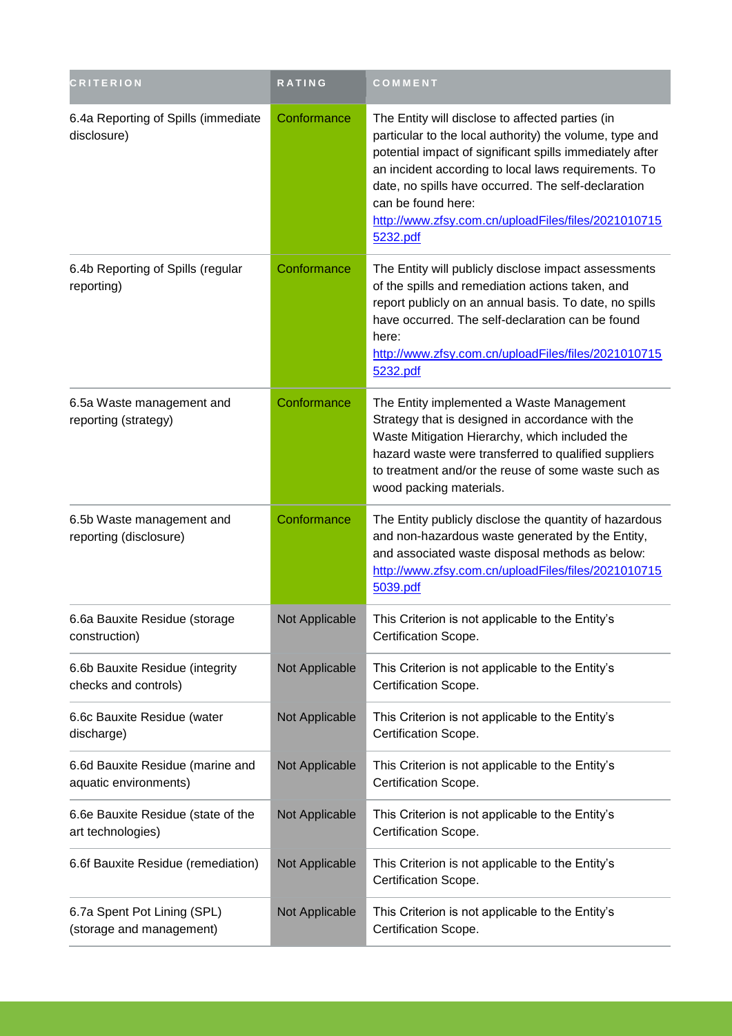| <b>CRITERION</b>                                          | <b>RATING</b>  | COMMENT                                                                                                                                                                                                                                                                                                                                                                         |
|-----------------------------------------------------------|----------------|---------------------------------------------------------------------------------------------------------------------------------------------------------------------------------------------------------------------------------------------------------------------------------------------------------------------------------------------------------------------------------|
| 6.4a Reporting of Spills (immediate<br>disclosure)        | Conformance    | The Entity will disclose to affected parties (in<br>particular to the local authority) the volume, type and<br>potential impact of significant spills immediately after<br>an incident according to local laws requirements. To<br>date, no spills have occurred. The self-declaration<br>can be found here:<br>http://www.zfsy.com.cn/uploadFiles/files/2021010715<br>5232.pdf |
| 6.4b Reporting of Spills (regular<br>reporting)           | Conformance    | The Entity will publicly disclose impact assessments<br>of the spills and remediation actions taken, and<br>report publicly on an annual basis. To date, no spills<br>have occurred. The self-declaration can be found<br>here:<br>http://www.zfsy.com.cn/uploadFiles/files/2021010715<br>5232.pdf                                                                              |
| 6.5a Waste management and<br>reporting (strategy)         | Conformance    | The Entity implemented a Waste Management<br>Strategy that is designed in accordance with the<br>Waste Mitigation Hierarchy, which included the<br>hazard waste were transferred to qualified suppliers<br>to treatment and/or the reuse of some waste such as<br>wood packing materials.                                                                                       |
| 6.5b Waste management and<br>reporting (disclosure)       | Conformance    | The Entity publicly disclose the quantity of hazardous<br>and non-hazardous waste generated by the Entity,<br>and associated waste disposal methods as below:<br>http://www.zfsy.com.cn/uploadFiles/files/2021010715<br>5039.pdf                                                                                                                                                |
| 6.6a Bauxite Residue (storage<br>construction)            | Not Applicable | This Criterion is not applicable to the Entity's<br>Certification Scope.                                                                                                                                                                                                                                                                                                        |
| 6.6b Bauxite Residue (integrity<br>checks and controls)   | Not Applicable | This Criterion is not applicable to the Entity's<br>Certification Scope.                                                                                                                                                                                                                                                                                                        |
| 6.6c Bauxite Residue (water<br>discharge)                 | Not Applicable | This Criterion is not applicable to the Entity's<br>Certification Scope.                                                                                                                                                                                                                                                                                                        |
| 6.6d Bauxite Residue (marine and<br>aquatic environments) | Not Applicable | This Criterion is not applicable to the Entity's<br>Certification Scope.                                                                                                                                                                                                                                                                                                        |
| 6.6e Bauxite Residue (state of the<br>art technologies)   | Not Applicable | This Criterion is not applicable to the Entity's<br>Certification Scope.                                                                                                                                                                                                                                                                                                        |
| 6.6f Bauxite Residue (remediation)                        | Not Applicable | This Criterion is not applicable to the Entity's<br>Certification Scope.                                                                                                                                                                                                                                                                                                        |
| 6.7a Spent Pot Lining (SPL)<br>(storage and management)   | Not Applicable | This Criterion is not applicable to the Entity's<br>Certification Scope.                                                                                                                                                                                                                                                                                                        |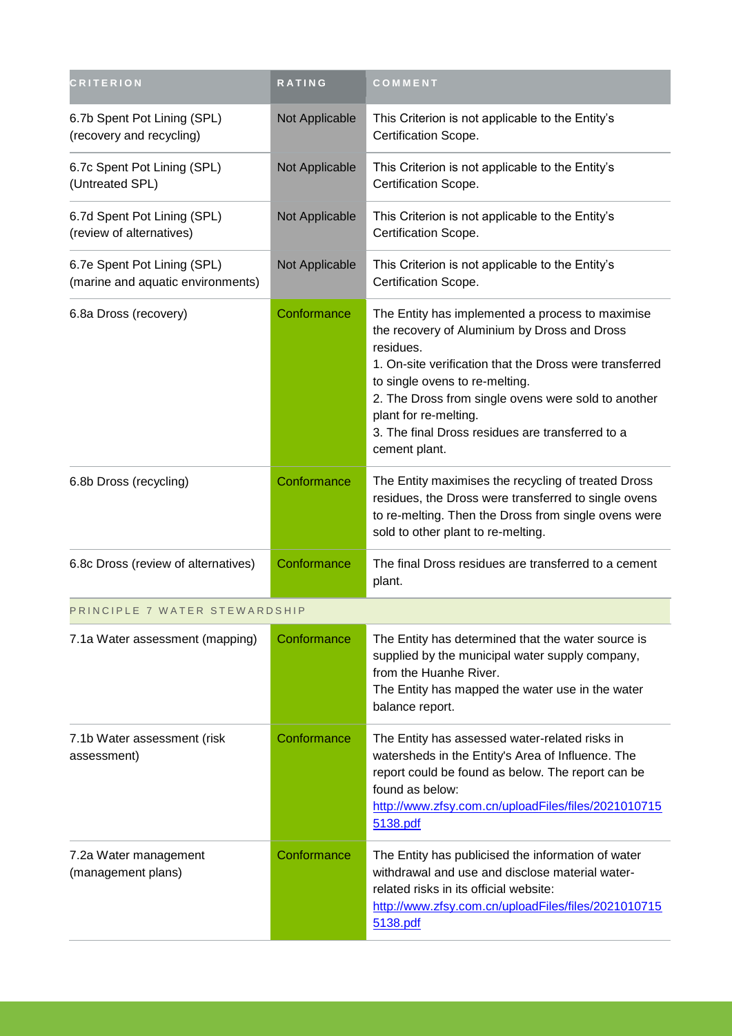| <b>CRITERION</b>                                                 | RATING         | COMMENT                                                                                                                                                                                                                                                                                                                                                         |
|------------------------------------------------------------------|----------------|-----------------------------------------------------------------------------------------------------------------------------------------------------------------------------------------------------------------------------------------------------------------------------------------------------------------------------------------------------------------|
| 6.7b Spent Pot Lining (SPL)<br>(recovery and recycling)          | Not Applicable | This Criterion is not applicable to the Entity's<br>Certification Scope.                                                                                                                                                                                                                                                                                        |
| 6.7c Spent Pot Lining (SPL)<br>(Untreated SPL)                   | Not Applicable | This Criterion is not applicable to the Entity's<br>Certification Scope.                                                                                                                                                                                                                                                                                        |
| 6.7d Spent Pot Lining (SPL)<br>(review of alternatives)          | Not Applicable | This Criterion is not applicable to the Entity's<br>Certification Scope.                                                                                                                                                                                                                                                                                        |
| 6.7e Spent Pot Lining (SPL)<br>(marine and aquatic environments) | Not Applicable | This Criterion is not applicable to the Entity's<br>Certification Scope.                                                                                                                                                                                                                                                                                        |
| 6.8a Dross (recovery)                                            | Conformance    | The Entity has implemented a process to maximise<br>the recovery of Aluminium by Dross and Dross<br>residues.<br>1. On-site verification that the Dross were transferred<br>to single ovens to re-melting.<br>2. The Dross from single ovens were sold to another<br>plant for re-melting.<br>3. The final Dross residues are transferred to a<br>cement plant. |
| 6.8b Dross (recycling)                                           | Conformance    | The Entity maximises the recycling of treated Dross<br>residues, the Dross were transferred to single ovens<br>to re-melting. Then the Dross from single ovens were<br>sold to other plant to re-melting.                                                                                                                                                       |
| 6.8c Dross (review of alternatives)                              | Conformance    | The final Dross residues are transferred to a cement<br>plant.                                                                                                                                                                                                                                                                                                  |
| PRINCIPLE 7 WATER STEWARDSHIP                                    |                |                                                                                                                                                                                                                                                                                                                                                                 |
| 7.1a Water assessment (mapping)                                  | Conformance    | The Entity has determined that the water source is<br>supplied by the municipal water supply company,<br>from the Huanhe River.<br>The Entity has mapped the water use in the water<br>balance report.                                                                                                                                                          |
| 7.1b Water assessment (risk<br>assessment)                       | Conformance    | The Entity has assessed water-related risks in<br>watersheds in the Entity's Area of Influence. The<br>report could be found as below. The report can be<br>found as below:<br>http://www.zfsy.com.cn/uploadFiles/files/2021010715<br>5138.pdf                                                                                                                  |
| 7.2a Water management<br>(management plans)                      | Conformance    | The Entity has publicised the information of water<br>withdrawal and use and disclose material water-<br>related risks in its official website:<br>http://www.zfsy.com.cn/uploadFiles/files/2021010715<br>5138.pdf                                                                                                                                              |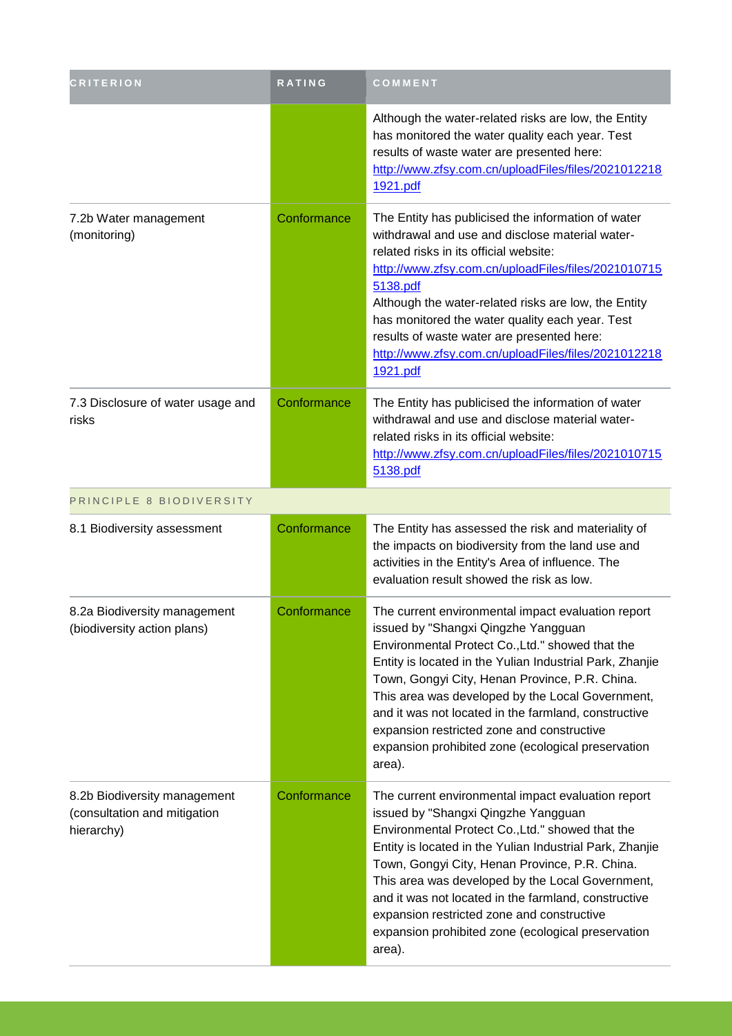| <b>CRITERION</b>                                                           | <b>RATING</b> | COMMENT                                                                                                                                                                                                                                                                                                                                                                                                                                                                               |
|----------------------------------------------------------------------------|---------------|---------------------------------------------------------------------------------------------------------------------------------------------------------------------------------------------------------------------------------------------------------------------------------------------------------------------------------------------------------------------------------------------------------------------------------------------------------------------------------------|
|                                                                            |               | Although the water-related risks are low, the Entity<br>has monitored the water quality each year. Test<br>results of waste water are presented here:<br>http://www.zfsy.com.cn/uploadFiles/files/2021012218<br>1921.pdf                                                                                                                                                                                                                                                              |
| 7.2b Water management<br>(monitoring)                                      | Conformance   | The Entity has publicised the information of water<br>withdrawal and use and disclose material water-<br>related risks in its official website:<br>http://www.zfsy.com.cn/uploadFiles/files/2021010715<br>5138.pdf<br>Although the water-related risks are low, the Entity<br>has monitored the water quality each year. Test<br>results of waste water are presented here:<br>http://www.zfsy.com.cn/uploadFiles/files/2021012218<br>1921.pdf                                        |
| 7.3 Disclosure of water usage and<br>risks                                 | Conformance   | The Entity has publicised the information of water<br>withdrawal and use and disclose material water-<br>related risks in its official website:<br>http://www.zfsy.com.cn/uploadFiles/files/2021010715<br>5138.pdf                                                                                                                                                                                                                                                                    |
| PRINCIPLE 8 BIODIVERSITY                                                   |               |                                                                                                                                                                                                                                                                                                                                                                                                                                                                                       |
| 8.1 Biodiversity assessment                                                | Conformance   | The Entity has assessed the risk and materiality of<br>the impacts on biodiversity from the land use and<br>activities in the Entity's Area of influence. The<br>evaluation result showed the risk as low.                                                                                                                                                                                                                                                                            |
| 8.2a Biodiversity management<br>(biodiversity action plans)                | Conformance   | The current environmental impact evaluation report<br>issued by "Shangxi Qingzhe Yangguan<br>Environmental Protect Co., Ltd." showed that the<br>Entity is located in the Yulian Industrial Park, Zhanjie<br>Town, Gongyi City, Henan Province, P.R. China.<br>This area was developed by the Local Government,<br>and it was not located in the farmland, constructive<br>expansion restricted zone and constructive<br>expansion prohibited zone (ecological preservation<br>area). |
| 8.2b Biodiversity management<br>(consultation and mitigation<br>hierarchy) | Conformance   | The current environmental impact evaluation report<br>issued by "Shangxi Qingzhe Yangguan<br>Environmental Protect Co., Ltd." showed that the<br>Entity is located in the Yulian Industrial Park, Zhanjie<br>Town, Gongyi City, Henan Province, P.R. China.<br>This area was developed by the Local Government,<br>and it was not located in the farmland, constructive<br>expansion restricted zone and constructive<br>expansion prohibited zone (ecological preservation<br>area). |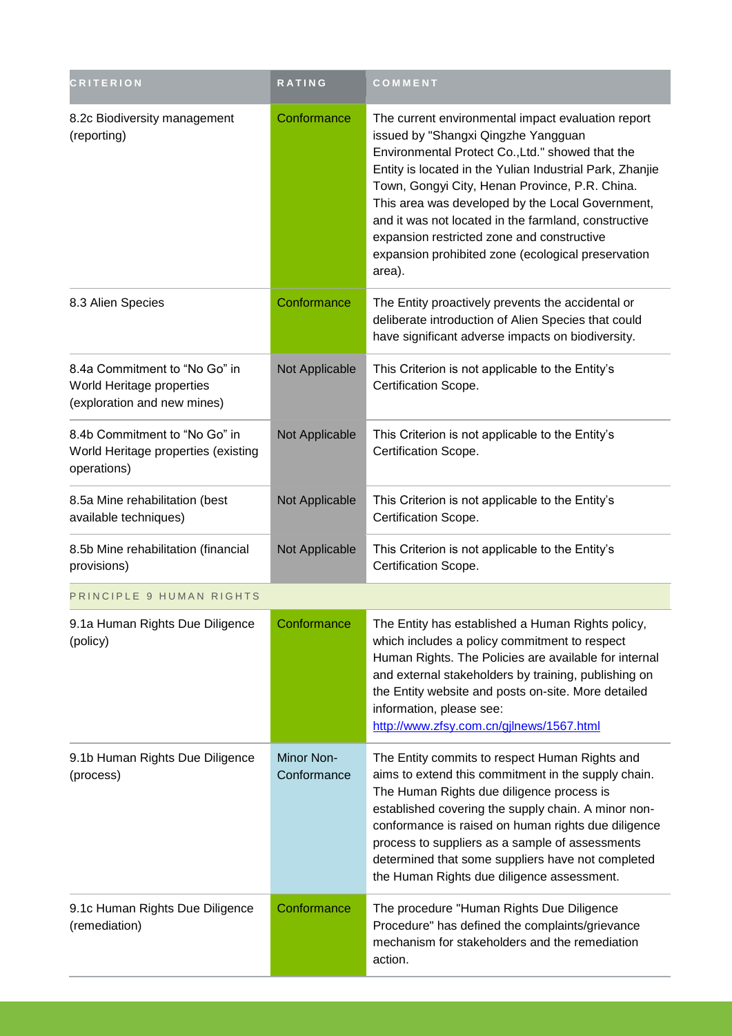| <b>CRITERION</b>                                                                          | <b>RATING</b>                    | COMMENT                                                                                                                                                                                                                                                                                                                                                                                                                                                                               |
|-------------------------------------------------------------------------------------------|----------------------------------|---------------------------------------------------------------------------------------------------------------------------------------------------------------------------------------------------------------------------------------------------------------------------------------------------------------------------------------------------------------------------------------------------------------------------------------------------------------------------------------|
| 8.2c Biodiversity management<br>(reporting)                                               | Conformance                      | The current environmental impact evaluation report<br>issued by "Shangxi Qingzhe Yangguan<br>Environmental Protect Co., Ltd." showed that the<br>Entity is located in the Yulian Industrial Park, Zhanjie<br>Town, Gongyi City, Henan Province, P.R. China.<br>This area was developed by the Local Government,<br>and it was not located in the farmland, constructive<br>expansion restricted zone and constructive<br>expansion prohibited zone (ecological preservation<br>area). |
| 8.3 Alien Species                                                                         | Conformance                      | The Entity proactively prevents the accidental or<br>deliberate introduction of Alien Species that could<br>have significant adverse impacts on biodiversity.                                                                                                                                                                                                                                                                                                                         |
| 8.4a Commitment to "No Go" in<br>World Heritage properties<br>(exploration and new mines) | Not Applicable                   | This Criterion is not applicable to the Entity's<br>Certification Scope.                                                                                                                                                                                                                                                                                                                                                                                                              |
| 8.4b Commitment to "No Go" in<br>World Heritage properties (existing<br>operations)       | Not Applicable                   | This Criterion is not applicable to the Entity's<br>Certification Scope.                                                                                                                                                                                                                                                                                                                                                                                                              |
| 8.5a Mine rehabilitation (best<br>available techniques)                                   | Not Applicable                   | This Criterion is not applicable to the Entity's<br>Certification Scope.                                                                                                                                                                                                                                                                                                                                                                                                              |
| 8.5b Mine rehabilitation (financial<br>provisions)                                        | Not Applicable                   | This Criterion is not applicable to the Entity's<br>Certification Scope.                                                                                                                                                                                                                                                                                                                                                                                                              |
| PRINCIPLE 9 HUMAN RIGHTS                                                                  |                                  |                                                                                                                                                                                                                                                                                                                                                                                                                                                                                       |
| 9.1a Human Rights Due Diligence<br>(policy)                                               | Conformance                      | The Entity has established a Human Rights policy,<br>which includes a policy commitment to respect<br>Human Rights. The Policies are available for internal<br>and external stakeholders by training, publishing on<br>the Entity website and posts on-site. More detailed<br>information, please see:<br>http://www.zfsy.com.cn/gjlnews/1567.html                                                                                                                                    |
| 9.1b Human Rights Due Diligence<br>(process)                                              | <b>Minor Non-</b><br>Conformance | The Entity commits to respect Human Rights and<br>aims to extend this commitment in the supply chain.<br>The Human Rights due diligence process is<br>established covering the supply chain. A minor non-<br>conformance is raised on human rights due diligence<br>process to suppliers as a sample of assessments<br>determined that some suppliers have not completed<br>the Human Rights due diligence assessment.                                                                |
| 9.1c Human Rights Due Diligence<br>(remediation)                                          | Conformance                      | The procedure "Human Rights Due Diligence<br>Procedure" has defined the complaints/grievance<br>mechanism for stakeholders and the remediation<br>action.                                                                                                                                                                                                                                                                                                                             |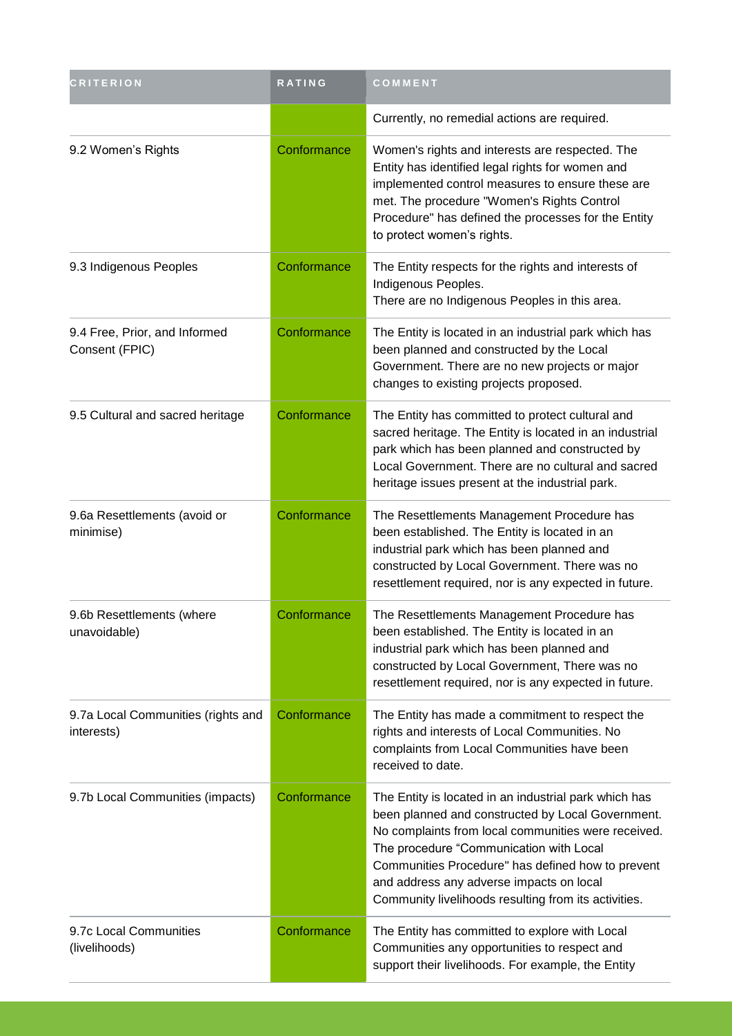| <b>CRITERION</b>                                 | <b>RATING</b> | COMMENT                                                                                                                                                                                                                                                                                                                                                               |
|--------------------------------------------------|---------------|-----------------------------------------------------------------------------------------------------------------------------------------------------------------------------------------------------------------------------------------------------------------------------------------------------------------------------------------------------------------------|
|                                                  |               | Currently, no remedial actions are required.                                                                                                                                                                                                                                                                                                                          |
| 9.2 Women's Rights                               | Conformance   | Women's rights and interests are respected. The<br>Entity has identified legal rights for women and<br>implemented control measures to ensure these are<br>met. The procedure "Women's Rights Control<br>Procedure" has defined the processes for the Entity<br>to protect women's rights.                                                                            |
| 9.3 Indigenous Peoples                           | Conformance   | The Entity respects for the rights and interests of<br>Indigenous Peoples.<br>There are no Indigenous Peoples in this area.                                                                                                                                                                                                                                           |
| 9.4 Free, Prior, and Informed<br>Consent (FPIC)  | Conformance   | The Entity is located in an industrial park which has<br>been planned and constructed by the Local<br>Government. There are no new projects or major<br>changes to existing projects proposed.                                                                                                                                                                        |
| 9.5 Cultural and sacred heritage                 | Conformance   | The Entity has committed to protect cultural and<br>sacred heritage. The Entity is located in an industrial<br>park which has been planned and constructed by<br>Local Government. There are no cultural and sacred<br>heritage issues present at the industrial park.                                                                                                |
| 9.6a Resettlements (avoid or<br>minimise)        | Conformance   | The Resettlements Management Procedure has<br>been established. The Entity is located in an<br>industrial park which has been planned and<br>constructed by Local Government. There was no<br>resettlement required, nor is any expected in future.                                                                                                                   |
| 9.6b Resettlements (where<br>unavoidable)        | Conformance   | The Resettlements Management Procedure has<br>been established. The Entity is located in an<br>industrial park which has been planned and<br>constructed by Local Government, There was no<br>resettlement required, nor is any expected in future.                                                                                                                   |
| 9.7a Local Communities (rights and<br>interests) | Conformance   | The Entity has made a commitment to respect the<br>rights and interests of Local Communities. No<br>complaints from Local Communities have been<br>received to date.                                                                                                                                                                                                  |
| 9.7b Local Communities (impacts)                 | Conformance   | The Entity is located in an industrial park which has<br>been planned and constructed by Local Government.<br>No complaints from local communities were received.<br>The procedure "Communication with Local<br>Communities Procedure" has defined how to prevent<br>and address any adverse impacts on local<br>Community livelihoods resulting from its activities. |
| 9.7c Local Communities<br>(livelihoods)          | Conformance   | The Entity has committed to explore with Local<br>Communities any opportunities to respect and<br>support their livelihoods. For example, the Entity                                                                                                                                                                                                                  |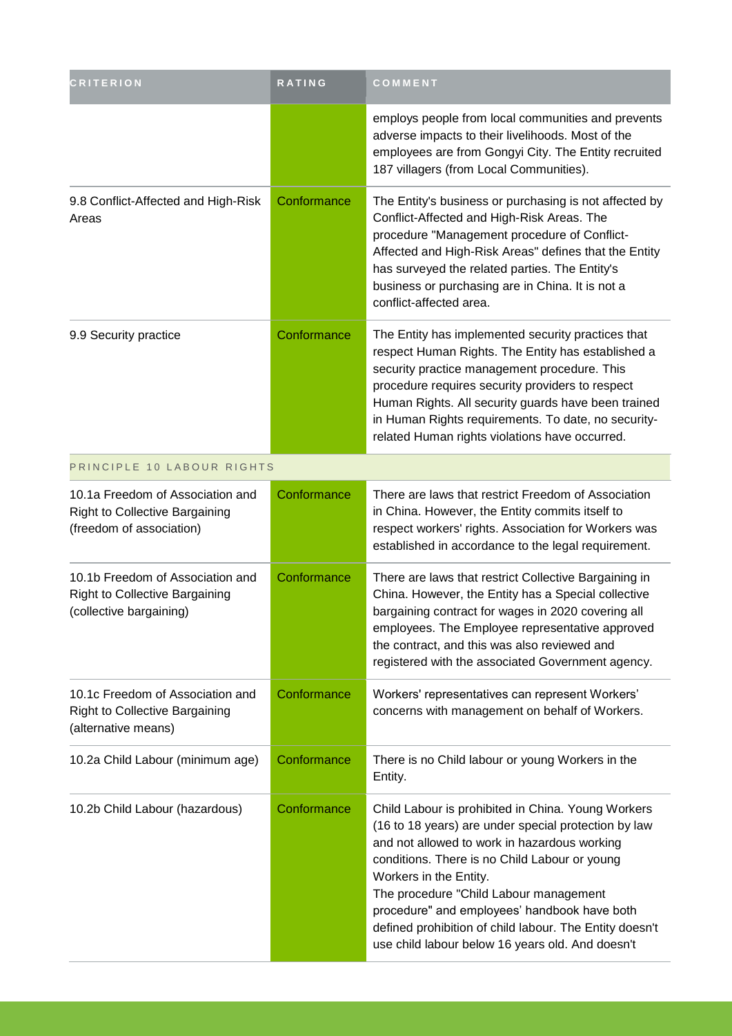| <b>CRITERION</b>                                                                                      | RATING      | COMMENT                                                                                                                                                                                                                                                                                                                                                                                                                                        |
|-------------------------------------------------------------------------------------------------------|-------------|------------------------------------------------------------------------------------------------------------------------------------------------------------------------------------------------------------------------------------------------------------------------------------------------------------------------------------------------------------------------------------------------------------------------------------------------|
|                                                                                                       |             | employs people from local communities and prevents<br>adverse impacts to their livelihoods. Most of the<br>employees are from Gongyi City. The Entity recruited<br>187 villagers (from Local Communities).                                                                                                                                                                                                                                     |
| 9.8 Conflict-Affected and High-Risk<br>Areas                                                          | Conformance | The Entity's business or purchasing is not affected by<br>Conflict-Affected and High-Risk Areas. The<br>procedure "Management procedure of Conflict-<br>Affected and High-Risk Areas" defines that the Entity<br>has surveyed the related parties. The Entity's<br>business or purchasing are in China. It is not a<br>conflict-affected area.                                                                                                 |
| 9.9 Security practice                                                                                 | Conformance | The Entity has implemented security practices that<br>respect Human Rights. The Entity has established a<br>security practice management procedure. This<br>procedure requires security providers to respect<br>Human Rights. All security guards have been trained<br>in Human Rights requirements. To date, no security-<br>related Human rights violations have occurred.                                                                   |
| PRINCIPLE 10 LABOUR RIGHTS                                                                            |             |                                                                                                                                                                                                                                                                                                                                                                                                                                                |
| 10.1a Freedom of Association and<br><b>Right to Collective Bargaining</b><br>(freedom of association) | Conformance | There are laws that restrict Freedom of Association<br>in China. However, the Entity commits itself to<br>respect workers' rights. Association for Workers was<br>established in accordance to the legal requirement.                                                                                                                                                                                                                          |
| 10.1b Freedom of Association and<br>Right to Collective Bargaining<br>(collective bargaining)         | Conformance | There are laws that restrict Collective Bargaining in<br>China. However, the Entity has a Special collective<br>bargaining contract for wages in 2020 covering all<br>employees. The Employee representative approved<br>the contract, and this was also reviewed and<br>registered with the associated Government agency.                                                                                                                     |
| 10.1c Freedom of Association and<br><b>Right to Collective Bargaining</b><br>(alternative means)      | Conformance | Workers' representatives can represent Workers'<br>concerns with management on behalf of Workers.                                                                                                                                                                                                                                                                                                                                              |
| 10.2a Child Labour (minimum age)                                                                      | Conformance | There is no Child labour or young Workers in the<br>Entity.                                                                                                                                                                                                                                                                                                                                                                                    |
| 10.2b Child Labour (hazardous)                                                                        | Conformance | Child Labour is prohibited in China. Young Workers<br>(16 to 18 years) are under special protection by law<br>and not allowed to work in hazardous working<br>conditions. There is no Child Labour or young<br>Workers in the Entity.<br>The procedure "Child Labour management<br>procedure" and employees' handbook have both<br>defined prohibition of child labour. The Entity doesn't<br>use child labour below 16 years old. And doesn't |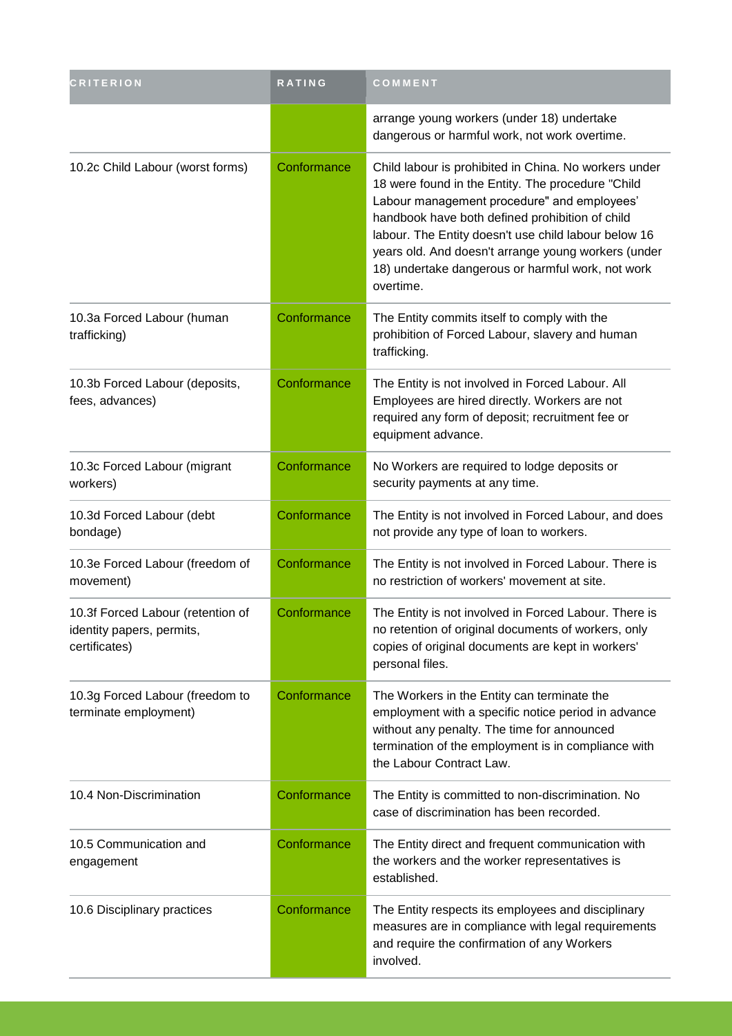| <b>CRITERION</b>                                                                | <b>RATING</b> | COMMENT                                                                                                                                                                                                                                                                                                                                                                                       |
|---------------------------------------------------------------------------------|---------------|-----------------------------------------------------------------------------------------------------------------------------------------------------------------------------------------------------------------------------------------------------------------------------------------------------------------------------------------------------------------------------------------------|
|                                                                                 |               | arrange young workers (under 18) undertake<br>dangerous or harmful work, not work overtime.                                                                                                                                                                                                                                                                                                   |
| 10.2c Child Labour (worst forms)                                                | Conformance   | Child labour is prohibited in China. No workers under<br>18 were found in the Entity. The procedure "Child<br>Labour management procedure" and employees'<br>handbook have both defined prohibition of child<br>labour. The Entity doesn't use child labour below 16<br>years old. And doesn't arrange young workers (under<br>18) undertake dangerous or harmful work, not work<br>overtime. |
| 10.3a Forced Labour (human<br>trafficking)                                      | Conformance   | The Entity commits itself to comply with the<br>prohibition of Forced Labour, slavery and human<br>trafficking.                                                                                                                                                                                                                                                                               |
| 10.3b Forced Labour (deposits,<br>fees, advances)                               | Conformance   | The Entity is not involved in Forced Labour. All<br>Employees are hired directly. Workers are not<br>required any form of deposit; recruitment fee or<br>equipment advance.                                                                                                                                                                                                                   |
| 10.3c Forced Labour (migrant<br>workers)                                        | Conformance   | No Workers are required to lodge deposits or<br>security payments at any time.                                                                                                                                                                                                                                                                                                                |
| 10.3d Forced Labour (debt<br>bondage)                                           | Conformance   | The Entity is not involved in Forced Labour, and does<br>not provide any type of loan to workers.                                                                                                                                                                                                                                                                                             |
| 10.3e Forced Labour (freedom of<br>movement)                                    | Conformance   | The Entity is not involved in Forced Labour. There is<br>no restriction of workers' movement at site.                                                                                                                                                                                                                                                                                         |
| 10.3f Forced Labour (retention of<br>identity papers, permits,<br>certificates) | Conformance   | The Entity is not involved in Forced Labour. There is<br>no retention of original documents of workers, only<br>copies of original documents are kept in workers'<br>personal files.                                                                                                                                                                                                          |
| 10.3g Forced Labour (freedom to<br>terminate employment)                        | Conformance   | The Workers in the Entity can terminate the<br>employment with a specific notice period in advance<br>without any penalty. The time for announced<br>termination of the employment is in compliance with<br>the Labour Contract Law.                                                                                                                                                          |
| 10.4 Non-Discrimination                                                         | Conformance   | The Entity is committed to non-discrimination. No<br>case of discrimination has been recorded.                                                                                                                                                                                                                                                                                                |
| 10.5 Communication and<br>engagement                                            | Conformance   | The Entity direct and frequent communication with<br>the workers and the worker representatives is<br>established.                                                                                                                                                                                                                                                                            |
| 10.6 Disciplinary practices                                                     | Conformance   | The Entity respects its employees and disciplinary<br>measures are in compliance with legal requirements<br>and require the confirmation of any Workers<br>involved.                                                                                                                                                                                                                          |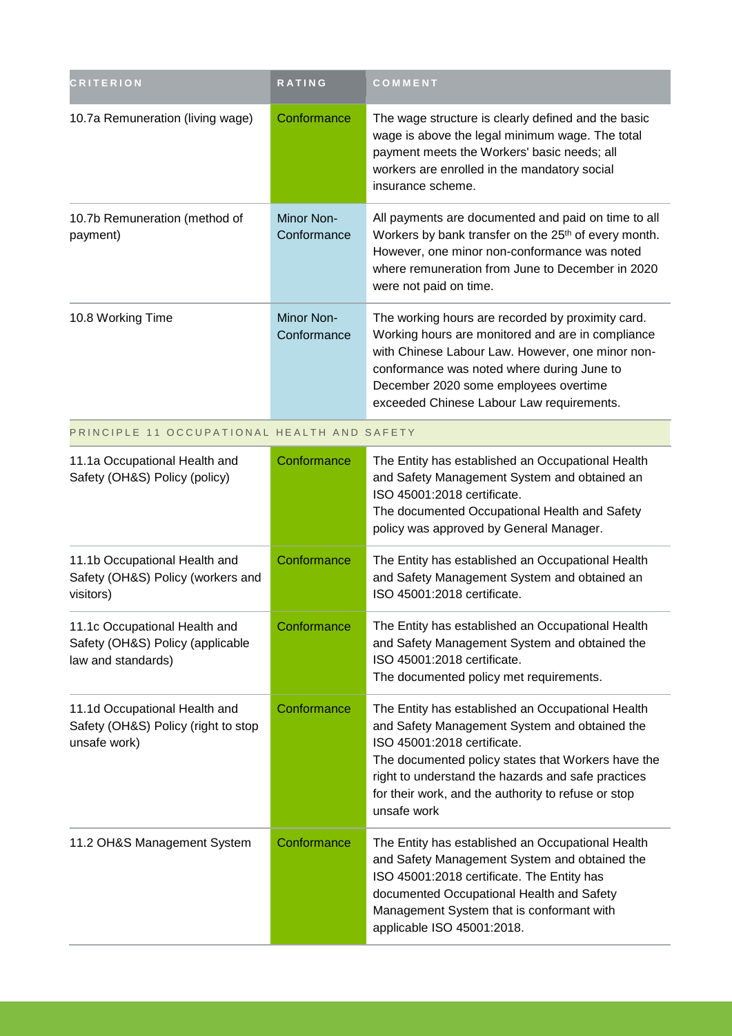| <b>CRITERION</b>                                                                        | <b>RATING</b>             | COMMENT                                                                                                                                                                                                                                                                                                             |
|-----------------------------------------------------------------------------------------|---------------------------|---------------------------------------------------------------------------------------------------------------------------------------------------------------------------------------------------------------------------------------------------------------------------------------------------------------------|
| 10.7a Remuneration (living wage)                                                        | Conformance               | The wage structure is clearly defined and the basic<br>wage is above the legal minimum wage. The total<br>payment meets the Workers' basic needs; all<br>workers are enrolled in the mandatory social<br>insurance scheme.                                                                                          |
| 10.7b Remuneration (method of<br>payment)                                               | Minor Non-<br>Conformance | All payments are documented and paid on time to all<br>Workers by bank transfer on the 25 <sup>th</sup> of every month.<br>However, one minor non-conformance was noted<br>where remuneration from June to December in 2020<br>were not paid on time.                                                               |
| 10.8 Working Time                                                                       | Minor Non-<br>Conformance | The working hours are recorded by proximity card.<br>Working hours are monitored and are in compliance<br>with Chinese Labour Law. However, one minor non-<br>conformance was noted where during June to<br>December 2020 some employees overtime<br>exceeded Chinese Labour Law requirements.                      |
| PRINCIPLE 11 OCCUPATIONAL HEALTH AND SAFETY                                             |                           |                                                                                                                                                                                                                                                                                                                     |
| 11.1a Occupational Health and<br>Safety (OH&S) Policy (policy)                          | Conformance               | The Entity has established an Occupational Health<br>and Safety Management System and obtained an<br>ISO 45001:2018 certificate.<br>The documented Occupational Health and Safety<br>policy was approved by General Manager.                                                                                        |
| 11.1b Occupational Health and<br>Safety (OH&S) Policy (workers and<br>visitors)         | Conformance               | The Entity has established an Occupational Health<br>and Safety Management System and obtained an<br>ISO 45001:2018 certificate.                                                                                                                                                                                    |
| 11.1c Occupational Health and<br>Safety (OH&S) Policy (applicable<br>law and standards) | Conformance               | The Entity has established an Occupational Health<br>and Safety Management System and obtained the<br>ISO 45001:2018 certificate.<br>The documented policy met requirements.                                                                                                                                        |
| 11.1d Occupational Health and<br>Safety (OH&S) Policy (right to stop<br>unsafe work)    | Conformance               | The Entity has established an Occupational Health<br>and Safety Management System and obtained the<br>ISO 45001:2018 certificate.<br>The documented policy states that Workers have the<br>right to understand the hazards and safe practices<br>for their work, and the authority to refuse or stop<br>unsafe work |
| 11.2 OH&S Management System                                                             | Conformance               | The Entity has established an Occupational Health<br>and Safety Management System and obtained the<br>ISO 45001:2018 certificate. The Entity has<br>documented Occupational Health and Safety<br>Management System that is conformant with<br>applicable ISO 45001:2018.                                            |